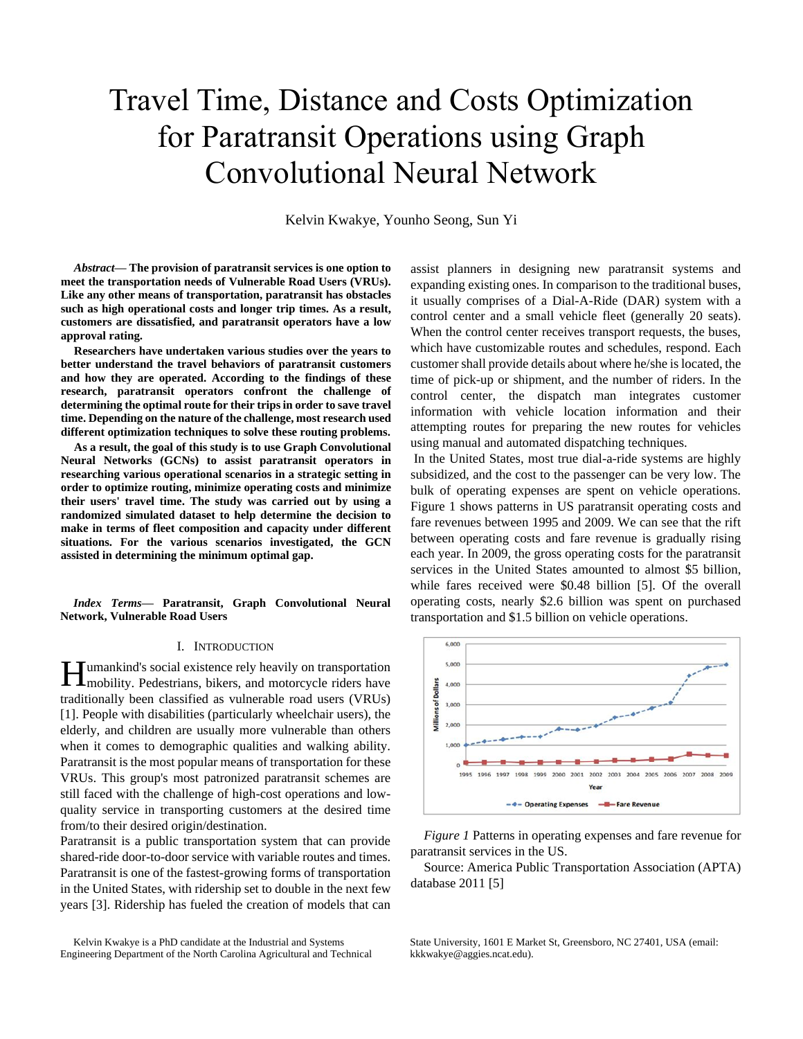# Travel Time, Distance and Costs Optimization for Paratransit Operations using Graph Convolutional Neural Network

Kelvin Kwakye, Younho Seong, Sun Yi

*Abstract***— The provision of paratransit services is one option to meet the transportation needs of Vulnerable Road Users (VRUs). Like any other means of transportation, paratransit has obstacles such as high operational costs and longer trip times. As a result, customers are dissatisfied, and paratransit operators have a low approval rating.**

**Researchers have undertaken various studies over the years to better understand the travel behaviors of paratransit customers and how they are operated. According to the findings of these research, paratransit operators confront the challenge of determining the optimal route for their trips in order to save travel time. Depending on the nature of the challenge, most research used different optimization techniques to solve these routing problems.** 

**As a result, the goal of this study is to use Graph Convolutional Neural Networks (GCNs) to assist paratransit operators in researching various operational scenarios in a strategic setting in order to optimize routing, minimize operating costs and minimize their users' travel time. The study was carried out by using a randomized simulated dataset to help determine the decision to make in terms of fleet composition and capacity under different situations. For the various scenarios investigated, the GCN assisted in determining the minimum optimal gap.**

*Index Terms***— Paratransit, Graph Convolutional Neural Network, Vulnerable Road Users** 

### I. INTRODUCTION

umankind's social existence rely heavily on transportation **H**umankind's social existence rely heavily on transportation<br>mobility. Pedestrians, bikers, and motorcycle riders have traditionally been classified as vulnerable road users (VRUs) [1]. People with disabilities (particularly wheelchair users), the elderly, and children are usually more vulnerable than others when it comes to demographic qualities and walking ability. Paratransit is the most popular means of transportation for these VRUs. This group's most patronized paratransit schemes are still faced with the challenge of high-cost operations and lowquality service in transporting customers at the desired time from/to their desired origin/destination.

Paratransit is a public transportation system that can provide shared-ride door-to-door service with variable routes and times. Paratransit is one of the fastest-growing forms of transportation in the United States, with ridership set to double in the next few years [3]. Ridership has fueled the creation of models that can

Kelvin Kwakye is a PhD candidate at the Industrial and Systems Engineering Department of the North Carolina Agricultural and Technical assist planners in designing new paratransit systems and expanding existing ones. In comparison to the traditional buses, it usually comprises of a Dial-A-Ride (DAR) system with a control center and a small vehicle fleet (generally 20 seats). When the control center receives transport requests, the buses, which have customizable routes and schedules, respond. Each customer shall provide details about where he/she is located, the time of pick-up or shipment, and the number of riders. In the control center, the dispatch man integrates customer information with vehicle location information and their attempting routes for preparing the new routes for vehicles using manual and automated dispatching techniques.

In the United States, most true dial-a-ride systems are highly subsidized, and the cost to the passenger can be very low. The bulk of operating expenses are spent on vehicle operations. Figure 1 shows patterns in US paratransit operating costs and fare revenues between 1995 and 2009. We can see that the rift between operating costs and fare revenue is gradually rising each year. In 2009, the gross operating costs for the paratransit services in the United States amounted to almost \$5 billion, while fares received were \$0.48 billion [5]. Of the overall operating costs, nearly \$2.6 billion was spent on purchased transportation and \$1.5 billion on vehicle operations.



*Figure 1* Patterns in operating expenses and fare revenue for paratransit services in the US.

Source: America Public Transportation Association (APTA) database 2011 [5]

State University, 1601 E Market St, Greensboro, NC 27401, USA (email: kkkwakye@aggies.ncat.edu).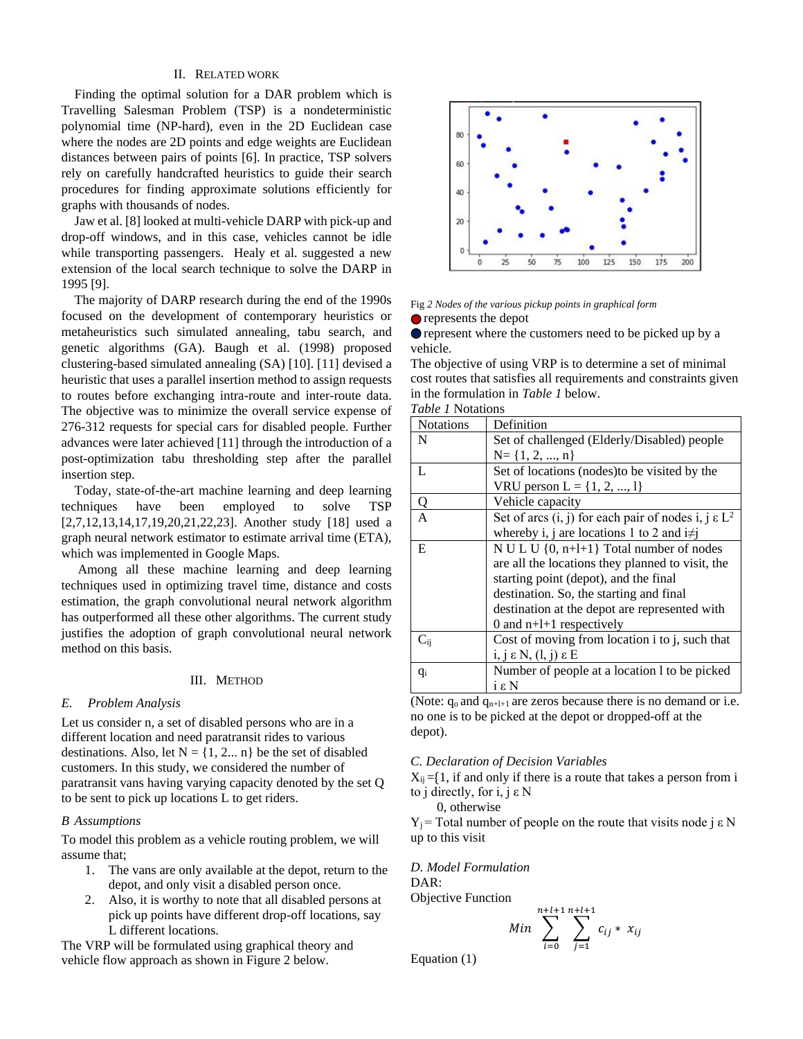## II. RELATED WORK

Finding the optimal solution for a DAR problem which is Travelling Salesman Problem (TSP) is a nondeterministic polynomial time (NP-hard), even in the 2D Euclidean case where the nodes are 2D points and edge weights are Euclidean distances between pairs of points [6]. In practice, TSP solvers rely on carefully handcrafted heuristics to guide their search procedures for finding approximate solutions efficiently for graphs with thousands of nodes.

Jaw et al. [8] looked at multi-vehicle DARP with pick-up and drop-off windows, and in this case, vehicles cannot be idle while transporting passengers. Healy et al. suggested a new extension of the local search technique to solve the DARP in 1995 [9].

The majority of DARP research during the end of the 1990s focused on the development of contemporary heuristics or metaheuristics such simulated annealing, tabu search, and genetic algorithms (GA). Baugh et al. (1998) proposed clustering-based simulated annealing (SA) [10]. [11] devised a heuristic that uses a parallel insertion method to assign requests to routes before exchanging intra-route and inter-route data. The objective was to minimize the overall service expense of 276-312 requests for special cars for disabled people. Further advances were later achieved [11] through the introduction of a post-optimization tabu thresholding step after the parallel insertion step.

Today, state-of-the-art machine learning and deep learning techniques have been employed to solve TSP [2,7,12,13,14,17,19,20,21,22,23]. Another study [18] used a graph neural network estimator to estimate arrival time (ETA), which was implemented in Google Maps.

Among all these machine learning and deep learning techniques used in optimizing travel time, distance and costs estimation, the graph convolutional neural network algorithm has outperformed all these other algorithms. The current study justifies the adoption of graph convolutional neural network method on this basis.

# III. METHOD

#### *E. Problem Analysis*

Let us consider n, a set of disabled persons who are in a different location and need paratransit rides to various destinations. Also, let  $N = \{1, 2, \ldots n\}$  be the set of disabled customers. In this study, we considered the number of paratransit vans having varying capacity denoted by the set Q to be sent to pick up locations L to get riders.

#### *B Assumptions*

To model this problem as a vehicle routing problem, we will assume that;

- 1. The vans are only available at the depot, return to the depot, and only visit a disabled person once.
- 2. Also, it is worthy to note that all disabled persons at pick up points have different drop-off locations, say L different locations.

The VRP will be formulated using graphical theory and vehicle flow approach as shown in Figure 2 below.



## Fig *2 Nodes of the various pickup points in graphical form*

represents the depot

**O** represent where the customers need to be picked up by a vehicle.

The objective of using VRP is to determine a set of minimal cost routes that satisfies all requirements and constraints given in the formulation in *Table 1* below.

*Table 1* Notations

| <b>Notations</b> | Definition                                                 |
|------------------|------------------------------------------------------------|
| N                | Set of challenged (Elderly/Disabled) people                |
|                  | $N = \{1, 2, , n\}$                                        |
| L                | Set of locations (nodes) to be visited by the              |
|                  | VRU person L = $\{1, 2, , 1\}$                             |
| Q                | Vehicle capacity                                           |
| $\overline{A}$   | Set of arcs $(i, j)$ for each pair of nodes i, $j \in L^2$ |
|                  | whereby i, j are locations 1 to 2 and $i \neq j$           |
| E                | N U L U $\{0, n+l+1\}$ Total number of nodes               |
|                  | are all the locations they planned to visit, the           |
|                  | starting point (depot), and the final                      |
|                  | destination. So, the starting and final                    |
|                  | destination at the depot are represented with              |
|                  | 0 and $n+1+1$ respectively                                 |
| $\rm C_{\rm ij}$ | Cost of moving from location i to j, such that             |
|                  | $i, j \in N$ , $(l, j) \in E$                              |
| $q_i$            | Number of people at a location 1 to be picked              |
|                  | iεN                                                        |

(Note:  $q_0$  and  $q_{n+l+1}$  are zeros because there is no demand or i.e. no one is to be picked at the depot or dropped-off at the depot).

#### *C. Declaration of Decision Variables*

 $X_{ii} = \{1, \text{ if and only if there is a route that takes a person from } i\}$ to j directly, for i, j ε N

0, otherwise

Y<sub>j</sub> = Total number of people on the route that visits node j  $\epsilon$  N up to this visit

*D. Model Formulation* DAR: Objective Function

Min 
$$
\sum_{i=0}^{n+l+1} \sum_{j=1}^{n+l+1} c_{ij} * x_{ij}
$$

Equation (1)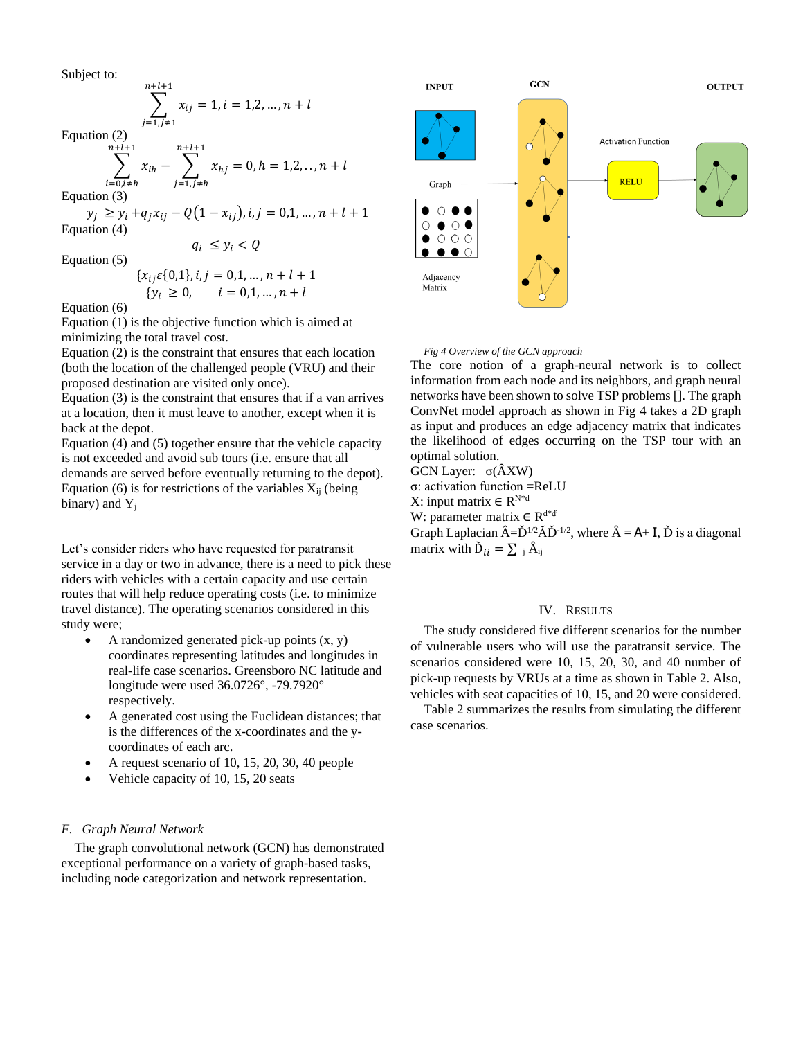Subject to:

$$
\sum_{j=1,j\neq 1}^{n+l+1} x_{ij} = 1, i = 1,2,...,n+l
$$

Equation (2)

$$
\sum_{\substack{i=0, i\neq h\\i\leq 3}}^{n+l+1} x_{ih} - \sum_{j=1, j\neq h}^{n+l+1} x_{hj} = 0, h = 1, 2, ..., n+l
$$

Equation (3)

 $y_j \ge y_i + q_j x_{ij} - Q(1 - x_{ij}), i, j = 0, 1, ..., n + l + 1$ Equation (4)  $q_i \leq y_i < Q$ 

Equation (5)

$$
\{x_{ij}\varepsilon\{0,1\}, i,j=0,1,\ldots,n+l+1\}
$$

$$
{y_i \ge 0, \quad i = 0,1,...,n+l}
$$

Equation (6)

Equation (1) is the objective function which is aimed at minimizing the total travel cost.

Equation (2) is the constraint that ensures that each location (both the location of the challenged people (VRU) and their proposed destination are visited only once).

Equation (3) is the constraint that ensures that if a van arrives at a location, then it must leave to another, except when it is back at the depot.

Equation (4) and (5) together ensure that the vehicle capacity is not exceeded and avoid sub tours (i.e. ensure that all demands are served before eventually returning to the depot). Equation (6) is for restrictions of the variables  $X_{ii}$  (being binary) and  $Y_j$ 

Let's consider riders who have requested for paratransit service in a day or two in advance, there is a need to pick these riders with vehicles with a certain capacity and use certain routes that will help reduce operating costs (i.e. to minimize travel distance). The operating scenarios considered in this study were;

- A randomized generated pick-up points  $(x, y)$ coordinates representing latitudes and longitudes in real-life case scenarios. Greensboro NC latitude and longitude were used 36.0726°, -79.7920° respectively.
- A generated cost using the Euclidean distances; that is the differences of the x-coordinates and the ycoordinates of each arc.
- A request scenario of 10, 15, 20, 30, 40 people
- Vehicle capacity of 10, 15, 20 seats

## *F. Graph Neural Network*

The graph convolutional network (GCN) has demonstrated exceptional performance on a variety of graph-based tasks, including node categorization and network representation.



#### *Fig 4 Overview of the GCN approach*

The core notion of a graph-neural network is to collect information from each node and its neighbors, and graph neural networks have been shown to solve TSP problems []. The graph ConvNet model approach as shown in Fig 4 takes a 2D graph as input and produces an edge adjacency matrix that indicates the likelihood of edges occurring on the TSP tour with an optimal solution.

GCN Layer: σ(ÂXW)

σ: activation function =ReLU

X: input matrix  $∈ R^{N*d}$ 

W: parameter matrix  $\in \mathbb{R}^{d * d}$ 

Graph Laplacian  $\hat{A} = \check{D}^{1/2} \check{A} \check{D}^{-1/2}$ , where  $\hat{A} = A + I$ ,  $\check{D}$  is a diagonal matrix with  $\check{D}_{ii} = \sum_i \hat{A}_{ii}$ 

## IV. RESULTS

The study considered five different scenarios for the number of vulnerable users who will use the paratransit service. The scenarios considered were 10, 15, 20, 30, and 40 number of pick-up requests by VRUs at a time as shown in Table 2. Also, vehicles with seat capacities of 10, 15, and 20 were considered.

Table 2 summarizes the results from simulating the different case scenarios.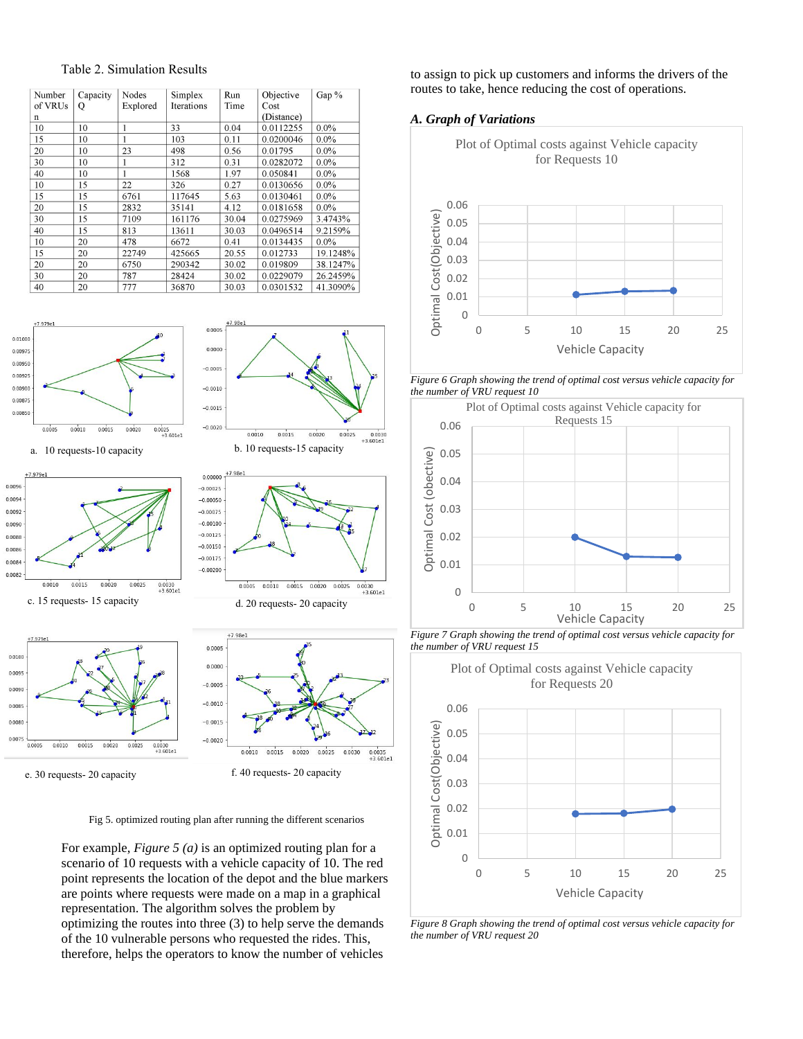

 $0.000$ 





F7.979e1

0.0100

0.0095

n nns 0.008

0.0075

 $0.0005$  $0.0010$  $0.0015$  $0.0020$  $0.0025$ 



 $0.0030  
+3.601e1$  $0.0010$  $0.0015$  $0.0020$  $0.0025$  $0.0030$ e. 30 requests- 20 capacity f. 40 requests- 20 capacity

0.0035<br>+3.601e1

Fig 5. optimized routing plan after running the different scenarios

 $-0.0015$ 

 $-0.0020$ 

For example, *Figure 5 (a)* is an optimized routing plan for a scenario of 10 requests with a vehicle capacity of 10. The red point represents the location of the depot and the blue markers are points where requests were made on a map in a graphical representation. The algorithm solves the problem by optimizing the routes into three (3) to help serve the demands of the 10 vulnerable persons who requested the rides. This, therefore, helps the operators to know the number of vehicles

to assign to pick up customers and informs the drivers of the routes to take, hence reducing the cost of operations.

## *A. Graph of Variations*



*Figure 6 Graph showing the trend of optimal cost versus vehicle capacity for the number of VRU request 10* 



*Figure 7 Graph showing the trend of optimal cost versus vehicle capacity for the number of VRU request 15* 



*Figure 8 Graph showing the trend of optimal cost versus vehicle capacity for the number of VRU request 20*

### Table 2. Simulation Results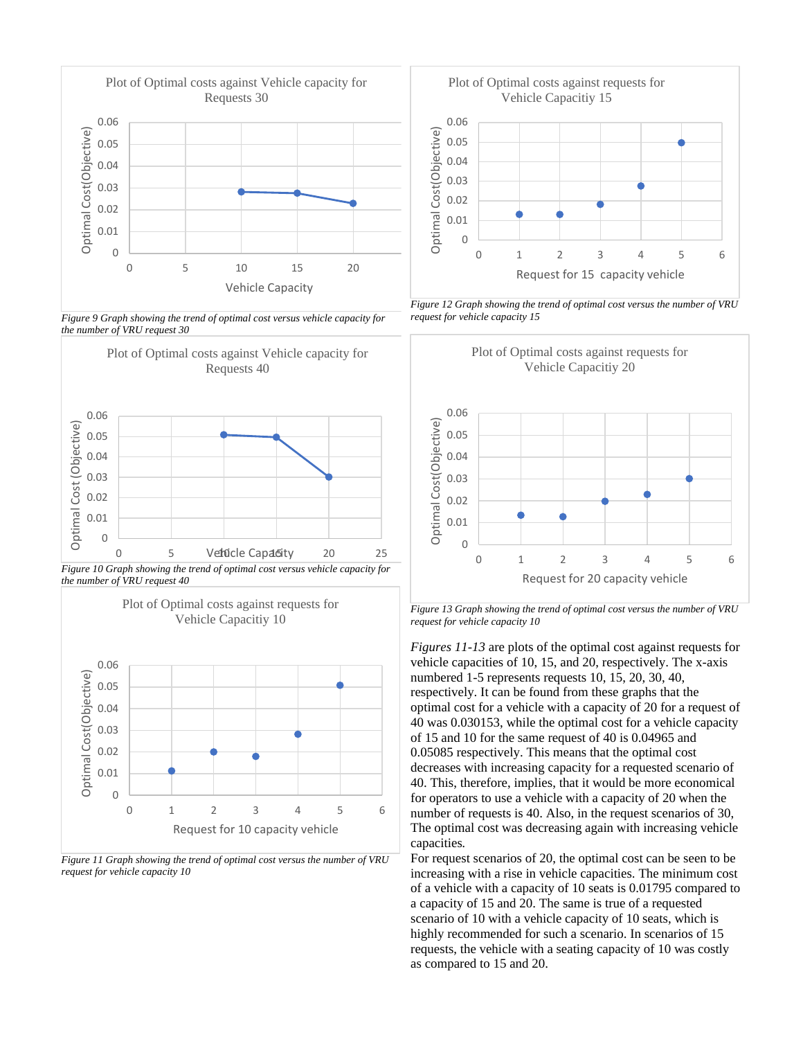

*Figure 9 Graph showing the trend of optimal cost versus vehicle capacity for the number of VRU request 30*







*Figure 11 Graph showing the trend of optimal cost versus the number of VRU request for vehicle capacity 10*



*Figure 12 Graph showing the trend of optimal cost versus the number of VRU request for vehicle capacity 15*



*Figure 13 Graph showing the trend of optimal cost versus the number of VRU request for vehicle capacity 10*

*Figures 11-13* are plots of the optimal cost against requests for vehicle capacities of 10, 15, and 20, respectively. The x-axis numbered 1-5 represents requests 10, 15, 20, 30, 40, respectively. It can be found from these graphs that the optimal cost for a vehicle with a capacity of 20 for a request of 40 was 0.030153, while the optimal cost for a vehicle capacity of 15 and 10 for the same request of 40 is 0.04965 and 0.05085 respectively. This means that the optimal cost decreases with increasing capacity for a requested scenario of 40. This, therefore, implies, that it would be more economical for operators to use a vehicle with a capacity of 20 when the number of requests is 40. Also, in the request scenarios of 30, The optimal cost was decreasing again with increasing vehicle capacities*.*

For request scenarios of 20, the optimal cost can be seen to be increasing with a rise in vehicle capacities. The minimum cost of a vehicle with a capacity of 10 seats is 0.01795 compared to a capacity of 15 and 20. The same is true of a requested scenario of 10 with a vehicle capacity of 10 seats, which is highly recommended for such a scenario. In scenarios of 15 requests, the vehicle with a seating capacity of 10 was costly as compared to 15 and 20.